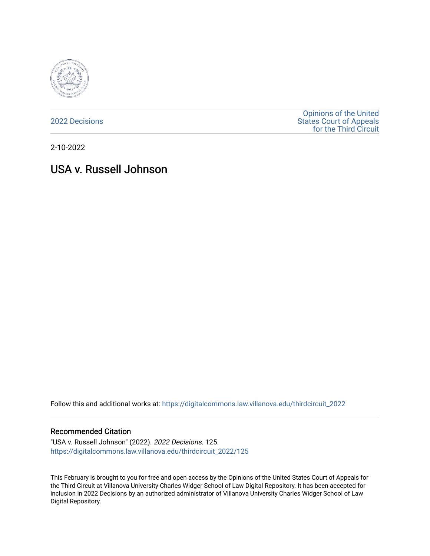

[2022 Decisions](https://digitalcommons.law.villanova.edu/thirdcircuit_2022)

[Opinions of the United](https://digitalcommons.law.villanova.edu/thirdcircuit)  [States Court of Appeals](https://digitalcommons.law.villanova.edu/thirdcircuit)  [for the Third Circuit](https://digitalcommons.law.villanova.edu/thirdcircuit) 

2-10-2022

# USA v. Russell Johnson

Follow this and additional works at: [https://digitalcommons.law.villanova.edu/thirdcircuit\\_2022](https://digitalcommons.law.villanova.edu/thirdcircuit_2022?utm_source=digitalcommons.law.villanova.edu%2Fthirdcircuit_2022%2F125&utm_medium=PDF&utm_campaign=PDFCoverPages) 

#### Recommended Citation

"USA v. Russell Johnson" (2022). 2022 Decisions. 125. [https://digitalcommons.law.villanova.edu/thirdcircuit\\_2022/125](https://digitalcommons.law.villanova.edu/thirdcircuit_2022/125?utm_source=digitalcommons.law.villanova.edu%2Fthirdcircuit_2022%2F125&utm_medium=PDF&utm_campaign=PDFCoverPages)

This February is brought to you for free and open access by the Opinions of the United States Court of Appeals for the Third Circuit at Villanova University Charles Widger School of Law Digital Repository. It has been accepted for inclusion in 2022 Decisions by an authorized administrator of Villanova University Charles Widger School of Law Digital Repository.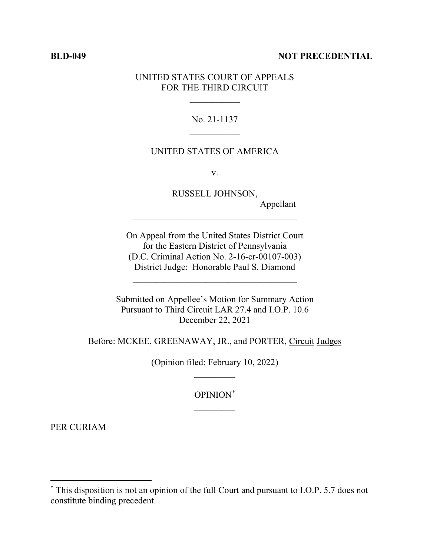#### **BLD-049 NOT PRECEDENTIAL**

### UNITED STATES COURT OF APPEALS FOR THE THIRD CIRCUIT

 $\frac{1}{2}$ 

## No. 21-1137  $\frac{1}{2}$

#### UNITED STATES OF AMERICA

v.

RUSSELL JOHNSON, Appellant \_\_\_\_\_\_\_\_\_\_\_\_\_\_\_\_\_\_\_\_\_\_\_\_\_\_\_\_\_\_\_\_\_\_\_\_

On Appeal from the United States District Court for the Eastern District of Pennsylvania (D.C. Criminal Action No. 2-16-cr-00107-003) District Judge: Honorable Paul S. Diamond

 $\mathcal{L}_\text{max}$  , where  $\mathcal{L}_\text{max}$  is the set of  $\mathcal{L}_\text{max}$ 

Submitted on Appellee's Motion for Summary Action Pursuant to Third Circuit LAR 27.4 and I.O.P. 10.6 December 22, 2021

Before: MCKEE, GREENAWAY, JR., and PORTER, Circuit Judges

(Opinion filed: February 10, 2022)  $\overline{\phantom{a}}$ 

> OPINION\*  $\frac{1}{2}$

PER CURIAM

<sup>\*</sup> This disposition is not an opinion of the full Court and pursuant to I.O.P. 5.7 does not constitute binding precedent.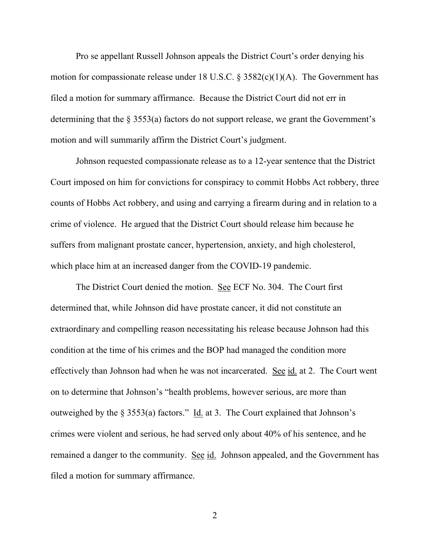Pro se appellant Russell Johnson appeals the District Court's order denying his motion for compassionate release under 18 U.S.C.  $\S 3582(c)(1)(A)$ . The Government has filed a motion for summary affirmance. Because the District Court did not err in determining that the § 3553(a) factors do not support release, we grant the Government's motion and will summarily affirm the District Court's judgment.

Johnson requested compassionate release as to a 12-year sentence that the District Court imposed on him for convictions for conspiracy to commit Hobbs Act robbery, three counts of Hobbs Act robbery, and using and carrying a firearm during and in relation to a crime of violence. He argued that the District Court should release him because he suffers from malignant prostate cancer, hypertension, anxiety, and high cholesterol, which place him at an increased danger from the COVID-19 pandemic.

The District Court denied the motion. See ECF No. 304. The Court first determined that, while Johnson did have prostate cancer, it did not constitute an extraordinary and compelling reason necessitating his release because Johnson had this condition at the time of his crimes and the BOP had managed the condition more effectively than Johnson had when he was not incarcerated. See id. at 2. The Court went on to determine that Johnson's "health problems, however serious, are more than outweighed by the § 3553(a) factors." Id. at 3. The Court explained that Johnson's crimes were violent and serious, he had served only about 40% of his sentence, and he remained a danger to the community. See id. Johnson appealed, and the Government has filed a motion for summary affirmance.

 $\overline{2}$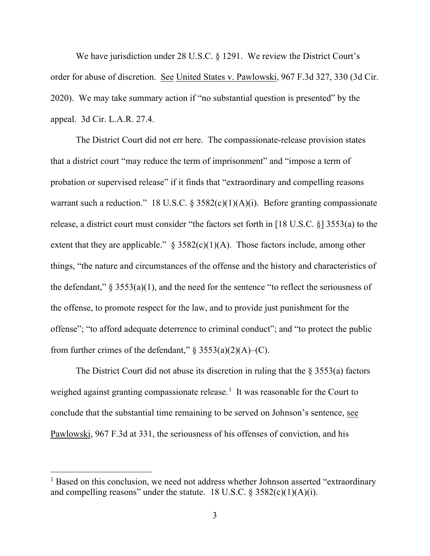We have jurisdiction under 28 U.S.C. § 1291. We review the District Court's order for abuse of discretion. See United States v. Pawlowski, 967 F.3d 327, 330 (3d Cir. 2020). We may take summary action if "no substantial question is presented" by the appeal. 3d Cir. L.A.R. 27.4.

The District Court did not err here. The compassionate-release provision states that a district court "may reduce the term of imprisonment" and "impose a term of probation or supervised release" if it finds that "extraordinary and compelling reasons warrant such a reduction." 18 U.S.C. §  $3582(c)(1)(A)(i)$ . Before granting compassionate release, a district court must consider "the factors set forth in [18 U.S.C. §] 3553(a) to the extent that they are applicable."  $\S$  3582(c)(1)(A). Those factors include, among other things, "the nature and circumstances of the offense and the history and characteristics of the defendant,"  $\S$  3553(a)(1), and the need for the sentence "to reflect the seriousness of the offense, to promote respect for the law, and to provide just punishment for the offense"; "to afford adequate deterrence to criminal conduct"; and "to protect the public from further crimes of the defendant,"  $\S$  3553(a)(2)(A)–(C).

The District Court did not abuse its discretion in ruling that the  $\S$  3553(a) factors weighed against granting compassionate release.<sup>1</sup> It was reasonable for the Court to conclude that the substantial time remaining to be served on Johnson's sentence, see Pawlowski, 967 F.3d at 331, the seriousness of his offenses of conviction, and his

<sup>&</sup>lt;sup>1</sup> Based on this conclusion, we need not address whether Johnson asserted "extraordinary" and compelling reasons" under the statute. 18 U.S.C.  $\frac{2582(c)(1)(A)(i)}{i}$ .